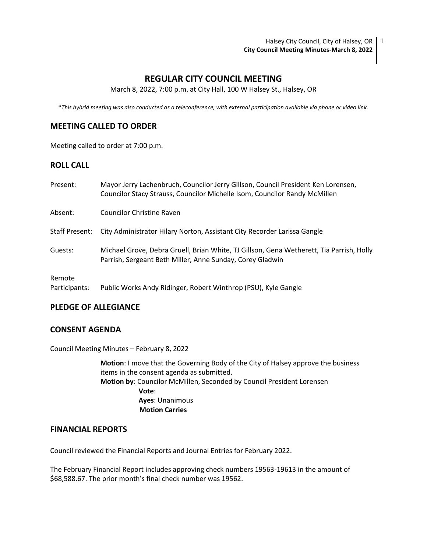Halsey City Council, City of Halsey, OR  $\mid$  1 **City Council Meeting Minutes-March 8, 2022**

# **REGULAR CITY COUNCIL MEETING**

March 8, 2022, 7:00 p.m. at City Hall, 100 W Halsey St., Halsey, OR

\**This hybrid meeting was also conducted as a teleconference, with external participation available via phone or video link.*

## **MEETING CALLED TO ORDER**

Meeting called to order at 7:00 p.m.

## **ROLL CALL**

| Present:       | Mayor Jerry Lachenbruch, Councilor Jerry Gillson, Council President Ken Lorensen,<br>Councilor Stacy Strauss, Councilor Michelle Isom, Councilor Randy McMillen |
|----------------|-----------------------------------------------------------------------------------------------------------------------------------------------------------------|
| Absent:        | Councilor Christine Raven                                                                                                                                       |
| Staff Present: | City Administrator Hilary Norton, Assistant City Recorder Larissa Gangle                                                                                        |
| Guests:        | Michael Grove, Debra Gruell, Brian White, TJ Gillson, Gena Wetherett, Tia Parrish, Holly<br>Parrish, Sergeant Beth Miller, Anne Sunday, Corey Gladwin           |
| Remote         |                                                                                                                                                                 |

Participants: Public Works Andy Ridinger, Robert Winthrop (PSU), Kyle Gangle

## **PLEDGE OF ALLEGIANCE**

### **CONSENT AGENDA**

Council Meeting Minutes – February 8, 2022

**Motion**: I move that the Governing Body of the City of Halsey approve the business items in the consent agenda as submitted. **Motion by**: Councilor McMillen, Seconded by Council President Lorensen **Vote**: **Ayes**: Unanimous  **Motion Carries**

# **FINANCIAL REPORTS**

Council reviewed the Financial Reports and Journal Entries for February 2022.

The February Financial Report includes approving check numbers 19563-19613 in the amount of \$68,588.67. The prior month's final check number was 19562.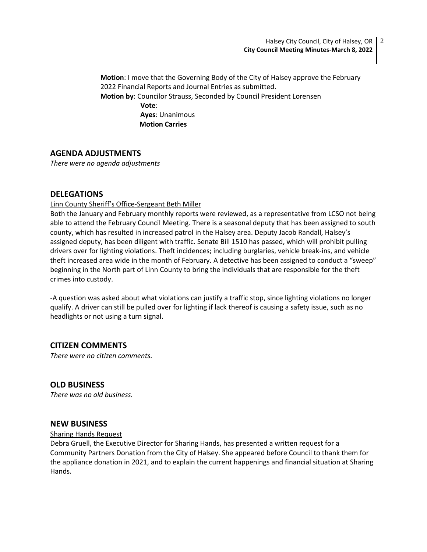**Motion**: I move that the Governing Body of the City of Halsey approve the February 2022 Financial Reports and Journal Entries as submitted. **Motion by**: Councilor Strauss, Seconded by Council President Lorensen **Vote**: **Ayes**: Unanimous  **Motion Carries**

# **AGENDA ADJUSTMENTS**

*There were no agenda adjustments*

# **DELEGATIONS**

## Linn County Sheriff's Office-Sergeant Beth Miller

Both the January and February monthly reports were reviewed, as a representative from LCSO not being able to attend the February Council Meeting. There is a seasonal deputy that has been assigned to south county, which has resulted in increased patrol in the Halsey area. Deputy Jacob Randall, Halsey's assigned deputy, has been diligent with traffic. Senate Bill 1510 has passed, which will prohibit pulling drivers over for lighting violations. Theft incidences; including burglaries, vehicle break-ins, and vehicle theft increased area wide in the month of February. A detective has been assigned to conduct a "sweep" beginning in the North part of Linn County to bring the individuals that are responsible for the theft crimes into custody.

-A question was asked about what violations can justify a traffic stop, since lighting violations no longer qualify. A driver can still be pulled over for lighting if lack thereof is causing a safety issue, such as no headlights or not using a turn signal.

# **CITIZEN COMMENTS**

*There were no citizen comments.*

# **OLD BUSINESS**

*There was no old business.*

# **NEW BUSINESS**

### Sharing Hands Request

Debra Gruell, the Executive Director for Sharing Hands, has presented a written request for a Community Partners Donation from the City of Halsey. She appeared before Council to thank them for the appliance donation in 2021, and to explain the current happenings and financial situation at Sharing Hands.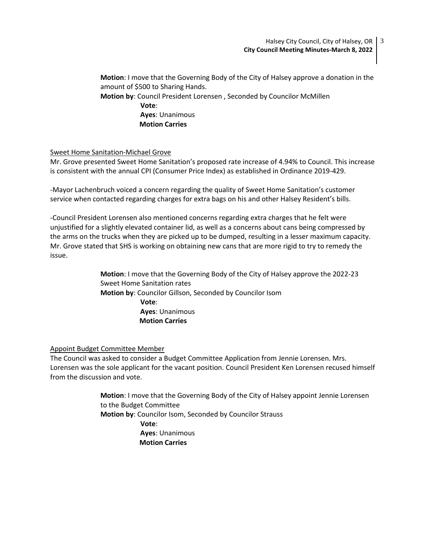**Motion**: I move that the Governing Body of the City of Halsey approve a donation in the amount of \$500 to Sharing Hands. **Motion by**: Council President Lorensen , Seconded by Councilor McMillen **Vote**: **Ayes**: Unanimous

 **Motion Carries**

### Sweet Home Sanitation-Michael Grove

Mr. Grove presented Sweet Home Sanitation's proposed rate increase of 4.94% to Council. This increase is consistent with the annual CPI (Consumer Price Index) as established in Ordinance 2019-429.

-Mayor Lachenbruch voiced a concern regarding the quality of Sweet Home Sanitation's customer service when contacted regarding charges for extra bags on his and other Halsey Resident's bills.

-Council President Lorensen also mentioned concerns regarding extra charges that he felt were unjustified for a slightly elevated container lid, as well as a concerns about cans being compressed by the arms on the trucks when they are picked up to be dumped, resulting in a lesser maximum capacity. Mr. Grove stated that SHS is working on obtaining new cans that are more rigid to try to remedy the issue.

> **Motion**: I move that the Governing Body of the City of Halsey approve the 2022-23 Sweet Home Sanitation rates  **Motion by**: Councilor Gillson, Seconded by Councilor Isom **Vote**: **Ayes**: Unanimous  **Motion Carries**

### Appoint Budget Committee Member

The Council was asked to consider a Budget Committee Application from Jennie Lorensen. Mrs. Lorensen was the sole applicant for the vacant position. Council President Ken Lorensen recused himself from the discussion and vote.

> **Motion**: I move that the Governing Body of the City of Halsey appoint Jennie Lorensen to the Budget Committee **Motion by**: Councilor Isom, Seconded by Councilor Strauss **Vote**: **Ayes**: Unanimous  **Motion Carries**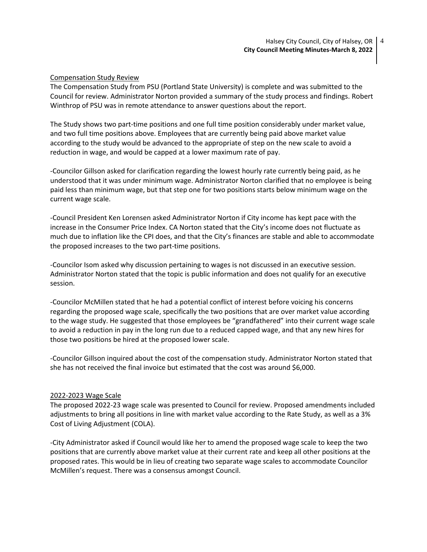#### Compensation Study Review

The Compensation Study from PSU (Portland State University) is complete and was submitted to the Council for review. Administrator Norton provided a summary of the study process and findings. Robert Winthrop of PSU was in remote attendance to answer questions about the report.

The Study shows two part-time positions and one full time position considerably under market value, and two full time positions above. Employees that are currently being paid above market value according to the study would be advanced to the appropriate of step on the new scale to avoid a reduction in wage, and would be capped at a lower maximum rate of pay.

-Councilor Gillson asked for clarification regarding the lowest hourly rate currently being paid, as he understood that it was under minimum wage. Administrator Norton clarified that no employee is being paid less than minimum wage, but that step one for two positions starts below minimum wage on the current wage scale.

-Council President Ken Lorensen asked Administrator Norton if City income has kept pace with the increase in the Consumer Price Index. CA Norton stated that the City's income does not fluctuate as much due to inflation like the CPI does, and that the City's finances are stable and able to accommodate the proposed increases to the two part-time positions.

-Councilor Isom asked why discussion pertaining to wages is not discussed in an executive session. Administrator Norton stated that the topic is public information and does not qualify for an executive session.

-Councilor McMillen stated that he had a potential conflict of interest before voicing his concerns regarding the proposed wage scale, specifically the two positions that are over market value according to the wage study. He suggested that those employees be "grandfathered" into their current wage scale to avoid a reduction in pay in the long run due to a reduced capped wage, and that any new hires for those two positions be hired at the proposed lower scale.

-Councilor Gillson inquired about the cost of the compensation study. Administrator Norton stated that she has not received the final invoice but estimated that the cost was around \$6,000.

#### 2022-2023 Wage Scale

The proposed 2022-23 wage scale was presented to Council for review. Proposed amendments included adjustments to bring all positions in line with market value according to the Rate Study, as well as a 3% Cost of Living Adjustment (COLA).

-City Administrator asked if Council would like her to amend the proposed wage scale to keep the two positions that are currently above market value at their current rate and keep all other positions at the proposed rates. This would be in lieu of creating two separate wage scales to accommodate Councilor McMillen's request. There was a consensus amongst Council.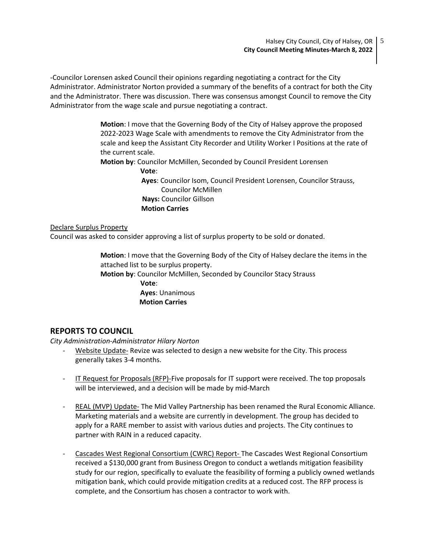-Councilor Lorensen asked Council their opinions regarding negotiating a contract for the City Administrator. Administrator Norton provided a summary of the benefits of a contract for both the City and the Administrator. There was discussion. There was consensus amongst Council to remove the City Administrator from the wage scale and pursue negotiating a contract.

> **Motion**: I move that the Governing Body of the City of Halsey approve the proposed 2022-2023 Wage Scale with amendments to remove the City Administrator from the scale and keep the Assistant City Recorder and Utility Worker I Positions at the rate of the current scale.

**Motion by**: Councilor McMillen, Seconded by Council President Lorensen

**Vote**:

 **Ayes**: Councilor Isom, Council President Lorensen, Councilor Strauss, Councilor McMillen  **Nays:** Councilor Gillson  **Motion Carries**

#### Declare Surplus Property

Council was asked to consider approving a list of surplus property to be sold or donated.

**Motion**: I move that the Governing Body of the City of Halsey declare the items in the attached list to be surplus property.

**Motion by**: Councilor McMillen, Seconded by Councilor Stacy Strauss

 **Vote**: **Ayes**: Unanimous  **Motion Carries**

# **REPORTS TO COUNCIL**

*City Administration-Administrator Hilary Norton*

- Website Update- Revize was selected to design a new website for the City. This process generally takes 3-4 months.
- IT Request for Proposals (RFP)-Five proposals for IT support were received. The top proposals will be interviewed, and a decision will be made by mid-March
- REAL (MVP) Update- The Mid Valley Partnership has been renamed the Rural Economic Alliance. Marketing materials and a website are currently in development. The group has decided to apply for a RARE member to assist with various duties and projects. The City continues to partner with RAIN in a reduced capacity.
- Cascades West Regional Consortium (CWRC) Report- The Cascades West Regional Consortium received a \$130,000 grant from Business Oregon to conduct a wetlands mitigation feasibility study for our region, specifically to evaluate the feasibility of forming a publicly owned wetlands mitigation bank, which could provide mitigation credits at a reduced cost. The RFP process is complete, and the Consortium has chosen a contractor to work with.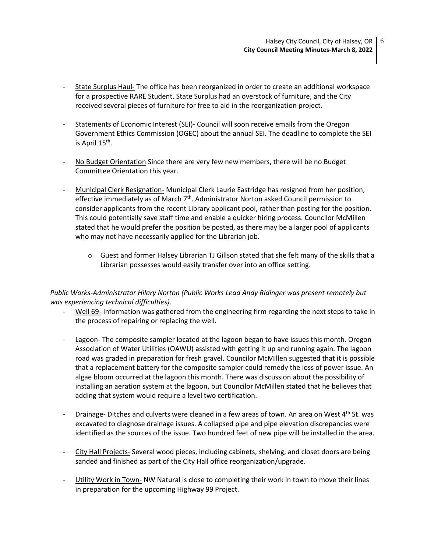- State Surplus Haul- The office has been reorganized in order to create an additional workspace for a prospective RARE Student. State Surplus had an overstock of furniture, and the City received several pieces of furniture for free to aid in the reorganization project.
- Statements of Economic Interest (SEI)- Council will soon receive emails from the Oregon Government Ethics Commission (OGEC) about the annual SEI. The deadline to complete the SEI is April 15<sup>th</sup>.
- No Budget Orientation Since there are very few new members, there will be no Budget Committee Orientation this year.
- Municipal Clerk Resignation- Municipal Clerk Laurie Eastridge has resigned from her position, effective immediately as of March  $7<sup>th</sup>$ . Administrator Norton asked Council permission to consider applicants from the recent Library applicant pool, rather than posting for the position. This could potentially save staff time and enable a quicker hiring process. Councilor McMillen stated that he would prefer the position be posted, as there may be a larger pool of applicants who may not have necessarily applied for the Librarian job.
	- $\circ$  Guest and former Halsey Librarian TJ Gillson stated that she felt many of the skills that a Librarian possesses would easily transfer over into an office setting.

# *Public Works-Administrator Hilary Norton (Public Works Lead Andy Ridinger was present remotely but was experiencing technical difficulties).*

- Well 69- Information was gathered from the engineering firm regarding the next steps to take in the process of repairing or replacing the well.
- Lagoon- The composite sampler located at the lagoon began to have issues this month. Oregon Association of Water Utilities (OAWU) assisted with getting it up and running again. The lagoon road was graded in preparation for fresh gravel. Councilor McMillen suggested that it is possible that a replacement battery for the composite sampler could remedy the loss of power issue. An algae bloom occurred at the lagoon this month. There was discussion about the possibility of installing an aeration system at the lagoon, but Councilor McMillen stated that he believes that adding that system would require a level two certification.
- Drainage- Ditches and culverts were cleaned in a few areas of town. An area on West 4<sup>th</sup> St. was excavated to diagnose drainage issues. A collapsed pipe and pipe elevation discrepancies were identified as the sources of the issue. Two hundred feet of new pipe will be installed in the area.
- City Hall Projects- Several wood pieces, including cabinets, shelving, and closet doors are being sanded and finished as part of the City Hall office reorganization/upgrade.
- Utility Work in Town- NW Natural is close to completing their work in town to move their lines in preparation for the upcoming Highway 99 Project.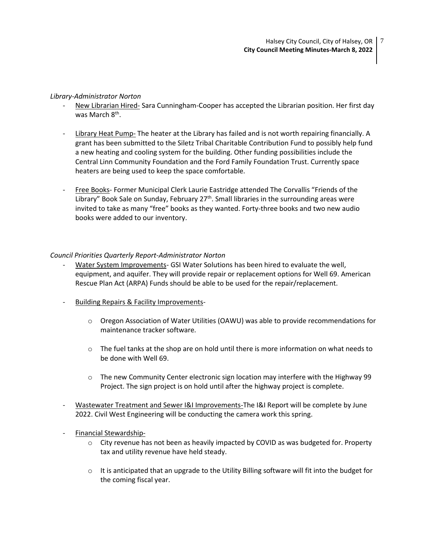#### *Library-Administrator Norton*

- New Librarian Hired- Sara Cunningham-Cooper has accepted the Librarian position. Her first day was March 8<sup>th</sup>.
- Library Heat Pump- The heater at the Library has failed and is not worth repairing financially. A grant has been submitted to the Siletz Tribal Charitable Contribution Fund to possibly help fund a new heating and cooling system for the building. Other funding possibilities include the Central Linn Community Foundation and the Ford Family Foundation Trust. Currently space heaters are being used to keep the space comfortable.
- Free Books- Former Municipal Clerk Laurie Eastridge attended The Corvallis "Friends of the Library" Book Sale on Sunday, February  $27<sup>th</sup>$ . Small libraries in the surrounding areas were invited to take as many "free" books as they wanted. Forty-three books and two new audio books were added to our inventory.

### *Council Priorities Quarterly Report-Administrator Norton*

- Water System Improvements- GSI Water Solutions has been hired to evaluate the well, equipment, and aquifer. They will provide repair or replacement options for Well 69. American Rescue Plan Act (ARPA) Funds should be able to be used for the repair/replacement.
- Building Repairs & Facility Improvements-
	- $\circ$  Oregon Association of Water Utilities (OAWU) was able to provide recommendations for maintenance tracker software*.*
	- $\circ$  The fuel tanks at the shop are on hold until there is more information on what needs to be done with Well 69.
	- $\circ$  The new Community Center electronic sign location may interfere with the Highway 99 Project. The sign project is on hold until after the highway project is complete.
- Wastewater Treatment and Sewer I&I Improvements-The I&I Report will be complete by June 2022. Civil West Engineering will be conducting the camera work this spring.
- Financial Stewardship-
	- $\circ$  City revenue has not been as heavily impacted by COVID as was budgeted for. Property tax and utility revenue have held steady.
	- $\circ$  It is anticipated that an upgrade to the Utility Billing software will fit into the budget for the coming fiscal year.